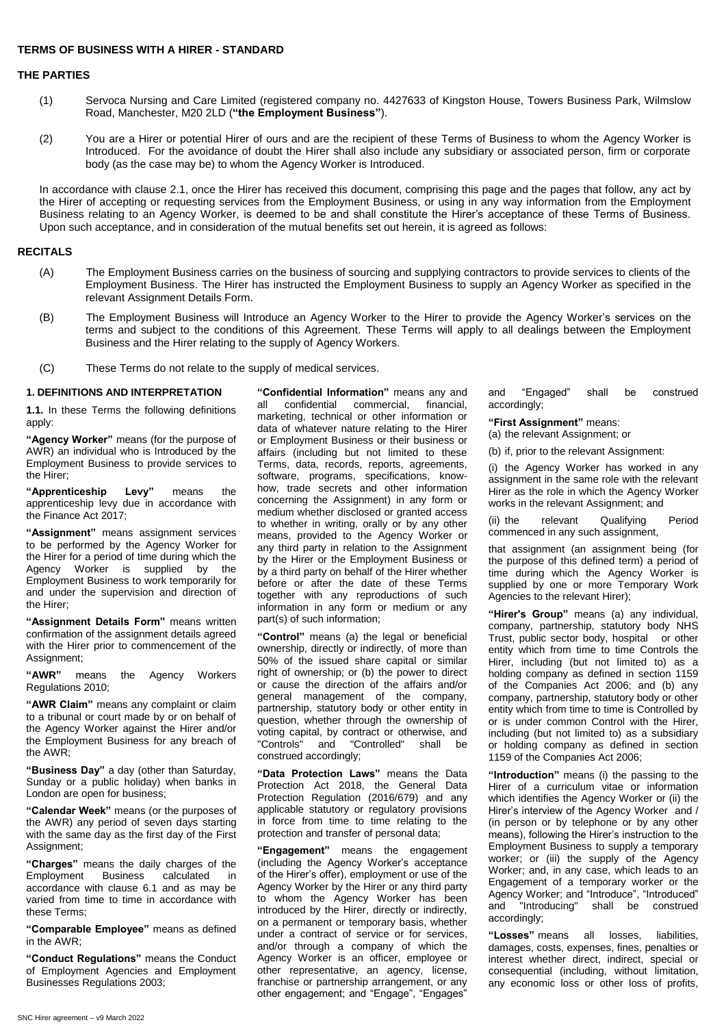# **TERMS OF BUSINESS WITH A HIRER - STANDARD**

# **THE PARTIES**

- (1) Servoca Nursing and Care Limited (registered company no. 4427633 of Kingston House, Towers Business Park, Wilmslow Road, Manchester, M20 2LD (**"the Employment Business"**).
- (2) You are a Hirer or potential Hirer of ours and are the recipient of these Terms of Business to whom the Agency Worker is Introduced. For the avoidance of doubt the Hirer shall also include any subsidiary or associated person, firm or corporate body (as the case may be) to whom the Agency Worker is Introduced.

In accordance with clause 2.1, once the Hirer has received this document, comprising this page and the pages that follow, any act by the Hirer of accepting or requesting services from the Employment Business, or using in any way information from the Employment Business relating to an Agency Worker, is deemed to be and shall constitute the Hirer's acceptance of these Terms of Business. Upon such acceptance, and in consideration of the mutual benefits set out herein, it is agreed as follows:

# **RECITALS**

- (A) The Employment Business carries on the business of sourcing and supplying contractors to provide services to clients of the Employment Business. The Hirer has instructed the Employment Business to supply an Agency Worker as specified in the relevant Assignment Details Form.
- (B) The Employment Business will Introduce an Agency Worker to the Hirer to provide the Agency Worker's services on the terms and subject to the conditions of this Agreement. These Terms will apply to all dealings between the Employment Business and the Hirer relating to the supply of Agency Workers.
- (C) These Terms do not relate to the supply of medical services.

# **1. DEFINITIONS AND INTERPRETATION**

**1.1.** In these Terms the following definitions apply:

**"Agency Worker"** means (for the purpose of AWR) an individual who is Introduced by the Employment Business to provide services to the Hirer;

**"Apprenticeship Levy"** means the apprenticeship levy due in accordance with the Finance Act 2017;

**"Assignment"** means assignment services to be performed by the Agency Worker for the Hirer for a period of time during which the Agency Worker is supplied by the Employment Business to work temporarily for and under the supervision and direction of the Hirer;

**"Assignment Details Form"** means written confirmation of the assignment details agreed with the Hirer prior to commencement of the Assignment:

**"AWR"** means the Agency Workers Regulations 2010;

**"AWR Claim"** means any complaint or claim to a tribunal or court made by or on behalf of the Agency Worker against the Hirer and/or the Employment Business for any breach of the AWR;

**"Business Day"** a day (other than Saturday, Sunday or a public holiday) when banks in London are open for business;

**"Calendar Week"** means (or the purposes of the AWR) any period of seven days starting with the same day as the first day of the First Assignment;

**"Charges"** means the daily charges of the Employment Business calculated in accordance with clause 6.1 and as may be varied from time to time in accordance with these Terms;

**"Comparable Employee"** means as defined in the AWR;

**"Conduct Regulations"** means the Conduct of Employment Agencies and Employment Businesses Regulations 2003;

**"Confidential Information"** means any and all confidential commercial, financial, marketing, technical or other information or data of whatever nature relating to the Hirer or Employment Business or their business or affairs (including but not limited to these Terms, data, records, reports, agreements, software, programs, specifications, knowhow, trade secrets and other information concerning the Assignment) in any form or medium whether disclosed or granted access to whether in writing, orally or by any other means, provided to the Agency Worker or any third party in relation to the Assignment by the Hirer or the Employment Business or by a third party on behalf of the Hirer whether before or after the date of these Terms together with any reproductions of such information in any form or medium or any part(s) of such information;

**"Control"** means (a) the legal or beneficial ownership, directly or indirectly, of more than 50% of the issued share capital or similar right of ownership; or (b) the power to direct or cause the direction of the affairs and/or general management of the company, partnership, statutory body or other entity in question, whether through the ownership of voting capital, by contract or otherwise, and "Controls" and "Controlled" shall be construed accordingly;

**"Data Protection Laws"** means the Data Protection Act 2018, the General Data Protection Regulation (2016/679) and any applicable statutory or regulatory provisions in force from time to time relating to the protection and transfer of personal data;

**"Engagement"** means the engagement (including the Agency Worker's acceptance of the Hirer's offer), employment or use of the Agency Worker by the Hirer or any third party to whom the Agency Worker has been introduced by the Hirer, directly or indirectly, on a permanent or temporary basis, whether under a contract of service or for services, and/or through a company of which the Agency Worker is an officer, employee or other representative, an agency, license, franchise or partnership arrangement, or any other engagement; and "Engage", "Engages"

and "Engaged" shall be construed accordingly;

**"First Assignment"** means:

(a) the relevant Assignment; or

(b) if, prior to the relevant Assignment:

(i) the Agency Worker has worked in any assignment in the same role with the relevant Hirer as the role in which the Agency Worker works in the relevant Assignment; and

(ii) the relevant Qualifying Period commenced in any such assignment,

that assignment (an assignment being (for the purpose of this defined term) a period of time during which the Agency Worker is supplied by one or more Temporary Work Agencies to the relevant Hirer);

**"Hirer's Group"** means (a) any individual, company, partnership, statutory body NHS Trust, public sector body, hospital or other entity which from time to time Controls the Hirer, including (but not limited to) as a holding company as defined in section 1159 of the Companies Act 2006; and (b) any company, partnership, statutory body or other entity which from time to time is Controlled by or is under common Control with the Hirer, including (but not limited to) as a subsidiary or holding company as defined in section 1159 of the Companies Act 2006;

**"Introduction"** means (i) the passing to the Hirer of a curriculum vitae or information which identifies the Agency Worker or (ii) the Hirer's interview of the Agency Worker and / (in person or by telephone or by any other means), following the Hirer's instruction to the Employment Business to supply a temporary worker; or (iii) the supply of the Agency Worker; and, in any case, which leads to an Engagement of a temporary worker or the Agency Worker; and "Introduce", "Introduced" and "Introducing" shall be construed accordingly;

**"Losses"** means all losses, liabilities, damages, costs, expenses, fines, penalties or interest whether direct, indirect, special or consequential (including, without limitation, any economic loss or other loss of profits,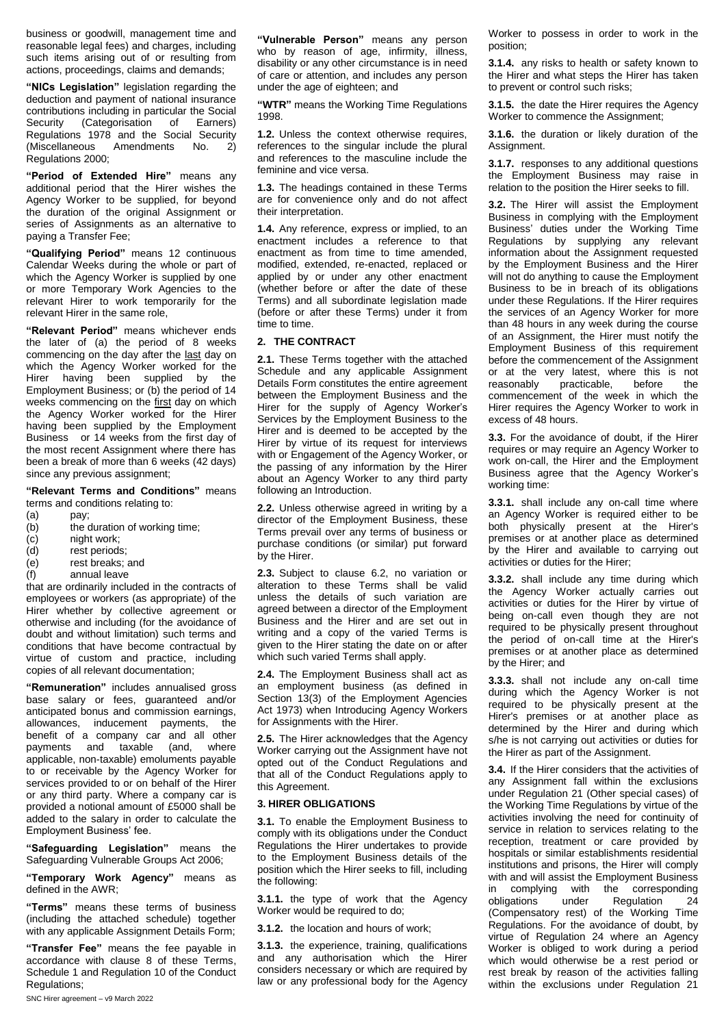business or goodwill, management time and reasonable legal fees) and charges, including such items arising out of or resulting from actions, proceedings, claims and demands;

**"NICs Legislation"** legislation regarding the deduction and payment of national insurance contributions including in particular the Social Security (Categorisation of Earners) Regulations 1978 and the Social Security (Miscellaneous Amendments No. 2) Regulations 2000;

**"Period of Extended Hire"** means any additional period that the Hirer wishes the Agency Worker to be supplied, for beyond the duration of the original Assignment or series of Assignments as an alternative to paying a Transfer Fee;

**"Qualifying Period"** means 12 continuous Calendar Weeks during the whole or part of which the Agency Worker is supplied by one or more Temporary Work Agencies to the relevant Hirer to work temporarily for the relevant Hirer in the same role,

**"Relevant Period"** means whichever ends the later of (a) the period of 8 weeks commencing on the day after the last day on which the Agency Worker worked for the Hirer having been supplied by the Employment Business; or (b) the period of 14 weeks commencing on the first day on which the Agency Worker worked for the Hirer having been supplied by the Employment Business or 14 weeks from the first day of the most recent Assignment where there has been a break of more than 6 weeks (42 days) since any previous assignment;

**"Relevant Terms and Conditions"** means terms and conditions relating to:

- 
- (a)  $pay;$ <br>(b) the c the duration of working time;
- (c) night work;
- (d) rest periods;
- (e) rest breaks; and
- (f) annual leave

that are ordinarily included in the contracts of employees or workers (as appropriate) of the Hirer whether by collective agreement or otherwise and including (for the avoidance of doubt and without limitation) such terms and conditions that have become contractual by virtue of custom and practice, including copies of all relevant documentation;

**"Remuneration"** includes annualised gross base salary or fees, guaranteed and/or anticipated bonus and commission earnings, allowances, inducement payments, the benefit of a company car and all other payments and taxable (and, where applicable, non-taxable) emoluments payable to or receivable by the Agency Worker for services provided to or on behalf of the Hirer or any third party. Where a company car is provided a notional amount of £5000 shall be added to the salary in order to calculate the Employment Business' fee.

**"Safeguarding Legislation"** means the Safeguarding Vulnerable Groups Act 2006;

**"Temporary Work Agency"** means as defined in the AWR;

**"Terms"** means these terms of business (including the attached schedule) together with any applicable Assignment Details Form;

**"Transfer Fee"** means the fee payable in accordance with clause 8 of these Terms, Schedule 1 and Regulation 10 of the Conduct Regulations;

**"WTR"** means the Working Time Regulations 1998.

**1.2.** Unless the context otherwise requires, references to the singular include the plural and references to the masculine include the feminine and vice versa.

**1.3.** The headings contained in these Terms are for convenience only and do not affect their interpretation.

**1.4.** Any reference, express or implied, to an enactment includes a reference to that enactment as from time to time amended, modified, extended, re-enacted, replaced or applied by or under any other enactment (whether before or after the date of these Terms) and all subordinate legislation made (before or after these Terms) under it from time to time.

### **2. THE CONTRACT**

**2.1.** These Terms together with the attached Schedule and any applicable Assignment Details Form constitutes the entire agreement between the Employment Business and the Hirer for the supply of Agency Worker's Services by the Employment Business to the Hirer and is deemed to be accepted by the Hirer by virtue of its request for interviews with or Engagement of the Agency Worker, or the passing of any information by the Hirer about an Agency Worker to any third party following an Introduction.

**2.2.** Unless otherwise agreed in writing by a director of the Employment Business, these Terms prevail over any terms of business or purchase conditions (or similar) put forward by the Hirer.

**2.3.** Subject to clause 6.2, no variation or alteration to these Terms shall be valid unless the details of such variation are agreed between a director of the Employment Business and the Hirer and are set out in writing and a copy of the varied Terms is given to the Hirer stating the date on or after which such varied Terms shall apply.

**2.4.** The Employment Business shall act as an employment business (as defined in Section 13(3) of the Employment Agencies Act 1973) when Introducing Agency Workers for Assignments with the Hirer.

**2.5.** The Hirer acknowledges that the Agency Worker carrying out the Assignment have not opted out of the Conduct Regulations and that all of the Conduct Regulations apply to this Agreement.

#### **3. HIRER OBLIGATIONS**

**3.1.** To enable the Employment Business to comply with its obligations under the Conduct Regulations the Hirer undertakes to provide to the Employment Business details of the position which the Hirer seeks to fill, including the following:

**3.1.1.** the type of work that the Agency Worker would be required to do;

**3.1.2.** the location and hours of work;

**3.1.3.** the experience, training, qualifications and any authorisation which the Hirer considers necessary or which are required by law or any professional body for the Agency Worker to possess in order to work in the position;

**3.1.4.** any risks to health or safety known to the Hirer and what steps the Hirer has taken to prevent or control such risks;

**3.1.5.** the date the Hirer requires the Agency Worker to commence the Assignment;

**3.1.6.** the duration or likely duration of the Assignment.

**3.1.7.** responses to any additional questions the Employment Business may raise in relation to the position the Hirer seeks to fill.

**3.2.** The Hirer will assist the Employment Business in complying with the Employment Business' duties under the Working Time Regulations by supplying any relevant information about the Assignment requested by the Employment Business and the Hirer will not do anything to cause the Employment Business to be in breach of its obligations under these Regulations. If the Hirer requires the services of an Agency Worker for more than 48 hours in any week during the course of an Assignment, the Hirer must notify the Employment Business of this requirement before the commencement of the Assignment or at the very latest, where this is not reasonably practicable, before the commencement of the week in which the Hirer requires the Agency Worker to work in excess of 48 hours.

**3.3.** For the avoidance of doubt, if the Hirer requires or may require an Agency Worker to work on-call, the Hirer and the Employment Business agree that the Agency Worker's working time:

**3.3.1.** shall include any on-call time where an Agency Worker is required either to be both physically present at the Hirer's premises or at another place as determined by the Hirer and available to carrying out activities or duties for the Hirer;

**3.3.2.** shall include any time during which the Agency Worker actually carries out activities or duties for the Hirer by virtue of being on-call even though they are not required to be physically present throughout the period of on-call time at the Hirer's premises or at another place as determined by the Hirer; and

**3.3.3.** shall not include any on-call time during which the Agency Worker is not required to be physically present at the Hirer's premises or at another place as determined by the Hirer and during which s/he is not carrying out activities or duties for the Hirer as part of the Assignment.

**3.4.** If the Hirer considers that the activities of any Assignment fall within the exclusions under Regulation 21 (Other special cases) of the Working Time Regulations by virtue of the activities involving the need for continuity of service in relation to services relating to the reception, treatment or care provided by hospitals or similar establishments residential institutions and prisons, the Hirer will comply with and will assist the Employment Business in complying with the corresponding<br>obligations under Regulation 24 obligations under Regulation 24 (Compensatory rest) of the Working Time Regulations. For the avoidance of doubt, by virtue of Regulation 24 where an Agency Worker is obliged to work during a period which would otherwise be a rest period or rest break by reason of the activities falling within the exclusions under Regulation 21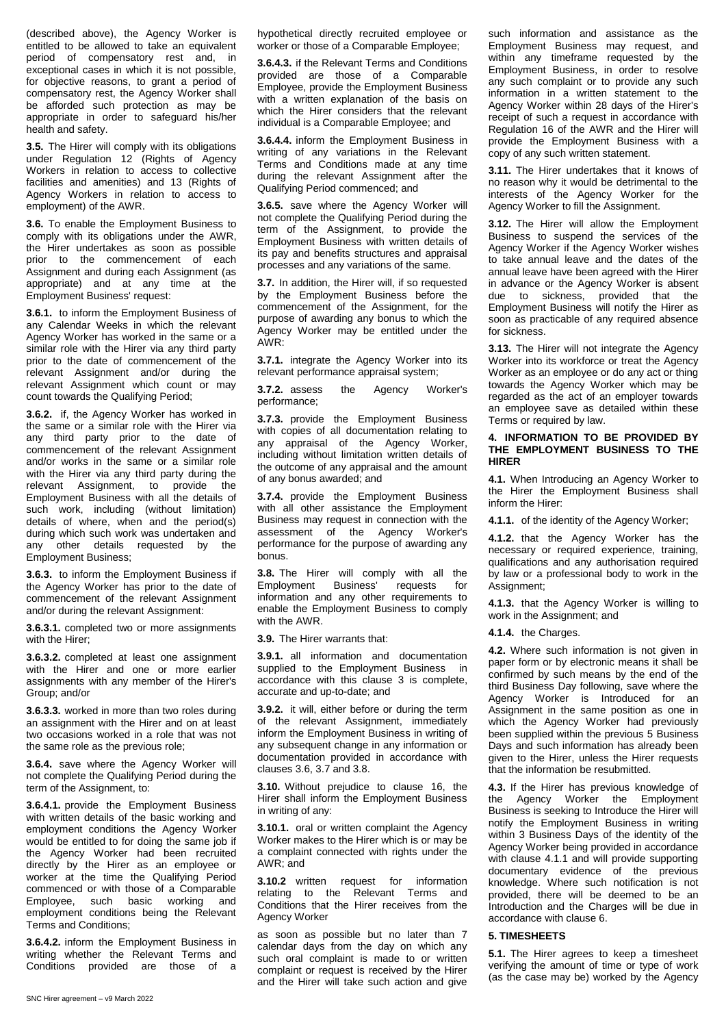(described above), the Agency Worker is entitled to be allowed to take an equivalent period of compensatory rest and, in exceptional cases in which it is not possible, for objective reasons, to grant a period of compensatory rest, the Agency Worker shall be afforded such protection as may be appropriate in order to safeguard his/her health and safety.

**3.5.** The Hirer will comply with its obligations under Regulation 12 (Rights of Agency Workers in relation to access to collective facilities and amenities) and 13 (Rights of Agency Workers in relation to access to employment) of the AWR.

**3.6.** To enable the Employment Business to comply with its obligations under the AWR, the Hirer undertakes as soon as possible prior to the commencement of each Assignment and during each Assignment (as appropriate) and at any time at the Employment Business' request:

**3.6.1.** to inform the Employment Business of any Calendar Weeks in which the relevant Agency Worker has worked in the same or a similar role with the Hirer via any third party prior to the date of commencement of the relevant Assignment and/or during the relevant Assignment which count or may count towards the Qualifying Period;

**3.6.2.** if, the Agency Worker has worked in the same or a similar role with the Hirer via any third party prior to the date of commencement of the relevant Assignment and/or works in the same or a similar role with the Hirer via any third party during the relevant Assignment, to provide the Employment Business with all the details of such work, including (without limitation) details of where, when and the period(s) during which such work was undertaken and any other details requested by the Employment Business;

**3.6.3.** to inform the Employment Business if the Agency Worker has prior to the date of commencement of the relevant Assignment and/or during the relevant Assignment:

**3.6.3.1.** completed two or more assignments with the Hirer;

**3.6.3.2.** completed at least one assignment with the Hirer and one or more earlier assignments with any member of the Hirer's Group; and/or

**3.6.3.3.** worked in more than two roles during an assignment with the Hirer and on at least two occasions worked in a role that was not the same role as the previous role;

**3.6.4.** save where the Agency Worker will not complete the Qualifying Period during the term of the Assignment, to:

**3.6.4.1.** provide the Employment Business with written details of the basic working and employment conditions the Agency Worker would be entitled to for doing the same job if the Agency Worker had been recruited directly by the Hirer as an employee or worker at the time the Qualifying Period commenced or with those of a Comparable Employee, such basic working and employment conditions being the Relevant Terms and Conditions;

**3.6.4.2.** inform the Employment Business in writing whether the Relevant Terms and Conditions provided are those of a

hypothetical directly recruited employee or worker or those of a Comparable Employee;

**3.6.4.3.** if the Relevant Terms and Conditions provided are those of a Comparable Employee, provide the Employment Business with a written explanation of the basis on which the Hirer considers that the relevant individual is a Comparable Employee; and

**3.6.4.4.** inform the Employment Business in writing of any variations in the Relevant Terms and Conditions made at any time during the relevant Assignment after the Qualifying Period commenced; and

**3.6.5.** save where the Agency Worker will not complete the Qualifying Period during the term of the Assignment, to provide the Employment Business with written details of its pay and benefits structures and appraisal processes and any variations of the same.

**3.7.** In addition, the Hirer will, if so requested by the Employment Business before the commencement of the Assignment, for the purpose of awarding any bonus to which the Agency Worker may be entitled under the AWR:

**3.7.1.** integrate the Agency Worker into its relevant performance appraisal system;

**3.7.2.** assess the Agency Worker's performance;

**3.7.3.** provide the Employment Business with copies of all documentation relating to any appraisal of the Agency Worker, including without limitation written details of the outcome of any appraisal and the amount of any bonus awarded; and

**3.7.4.** provide the Employment Business with all other assistance the Employment Business may request in connection with the assessment of the Agency Worker's performance for the purpose of awarding any bonus.

**3.8.** The Hirer will comply with all the Employment Business' requests for information and any other requirements to enable the Employment Business to comply with the AWR.

**3.9.** The Hirer warrants that:

**3.9.1.** all information and documentation supplied to the Employment Business in accordance with this clause 3 is complete, accurate and up-to-date; and

**3.9.2.** it will, either before or during the term of the relevant Assignment, immediately inform the Employment Business in writing of any subsequent change in any information or documentation provided in accordance with clauses 3.6, 3.7 and 3.8.

**3.10.** Without prejudice to clause 16, the Hirer shall inform the Employment Business in writing of any:

**3.10.1.** oral or written complaint the Agency Worker makes to the Hirer which is or may be a complaint connected with rights under the AWR; and

**3.10.2** written request for information relating to the Relevant Terms and Conditions that the Hirer receives from the Agency Worker

as soon as possible but no later than 7 calendar days from the day on which any such oral complaint is made to or written complaint or request is received by the Hirer and the Hirer will take such action and give such information and assistance as the Employment Business may request, and within any timeframe requested by the Employment Business, in order to resolve any such complaint or to provide any such information in a written statement to the Agency Worker within 28 days of the Hirer's receipt of such a request in accordance with Regulation 16 of the AWR and the Hirer will provide the Employment Business with a copy of any such written statement.

**3.11.** The Hirer undertakes that it knows of no reason why it would be detrimental to the interests of the Agency Worker for the Agency Worker to fill the Assignment.

**3.12.** The Hirer will allow the Employment Business to suspend the services of the Agency Worker if the Agency Worker wishes to take annual leave and the dates of the annual leave have been agreed with the Hirer in advance or the Agency Worker is absent due to sickness, provided that the Employment Business will notify the Hirer as soon as practicable of any required absence for sickness.

**3.13.** The Hirer will not integrate the Agency Worker into its workforce or treat the Agency Worker as an employee or do any act or thing towards the Agency Worker which may be regarded as the act of an employer towards an employee save as detailed within these Terms or required by law.

### **4. INFORMATION TO BE PROVIDED BY THE EMPLOYMENT BUSINESS TO THE HIRER**

**4.1.** When Introducing an Agency Worker to the Hirer the Employment Business shall inform the Hirer:

**4.1.1.** of the identity of the Agency Worker;

**4.1.2.** that the Agency Worker has the necessary or required experience, training, qualifications and any authorisation required by law or a professional body to work in the Assignment;

**4.1.3.** that the Agency Worker is willing to work in the Assignment; and

**4.1.4.** the Charges.

**4.2.** Where such information is not given in paper form or by electronic means it shall be confirmed by such means by the end of the third Business Day following, save where the Agency Worker is Introduced for an Assignment in the same position as one in which the Agency Worker had previously been supplied within the previous 5 Business Days and such information has already been given to the Hirer, unless the Hirer requests that the information be resubmitted.

**4.3.** If the Hirer has previous knowledge of the Agency Worker the Employment Business is seeking to Introduce the Hirer will notify the Employment Business in writing within 3 Business Days of the identity of the Agency Worker being provided in accordance with clause 4.1.1 and will provide supporting documentary evidence of the previous knowledge. Where such notification is not provided, there will be deemed to be an Introduction and the Charges will be due in accordance with clause 6.

### **5. TIMESHEETS**

**5.1.** The Hirer agrees to keep a timesheet verifying the amount of time or type of work (as the case may be) worked by the Agency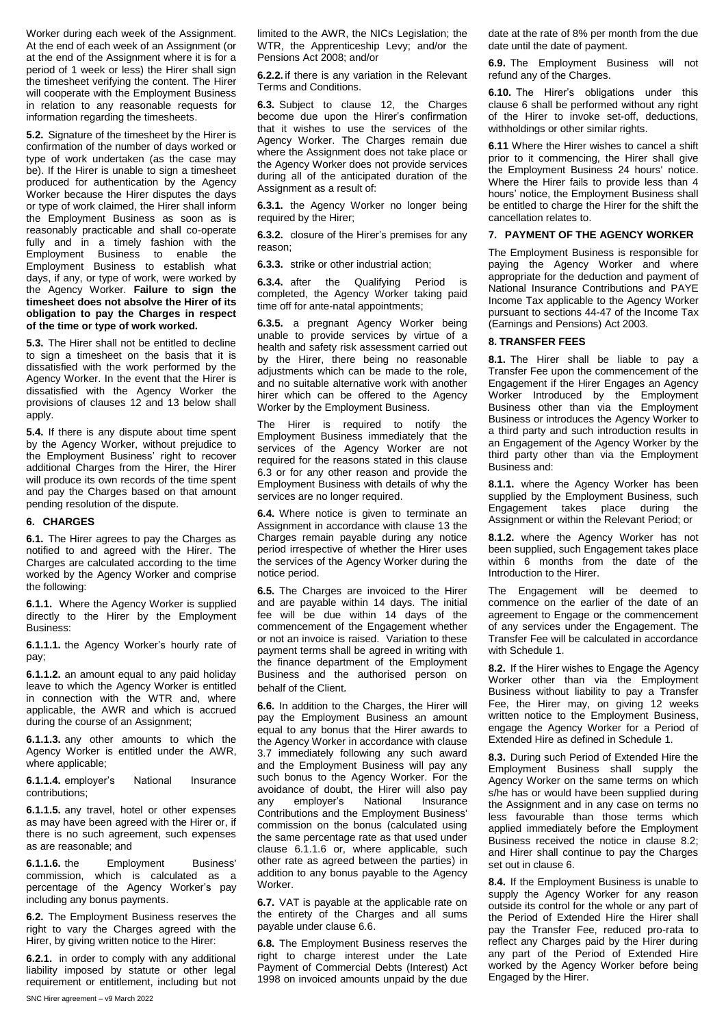Worker during each week of the Assignment. At the end of each week of an Assignment (or at the end of the Assignment where it is for a period of 1 week or less) the Hirer shall sign the timesheet verifying the content. The Hirer will cooperate with the Employment Business in relation to any reasonable requests for information regarding the timesheets.

**5.2.** Signature of the timesheet by the Hirer is confirmation of the number of days worked or type of work undertaken (as the case may be). If the Hirer is unable to sign a timesheet produced for authentication by the Agency Worker because the Hirer disputes the days or type of work claimed, the Hirer shall inform the Employment Business as soon as is reasonably practicable and shall co-operate fully and in a timely fashion with the Employment Business to enable the Employment Business to establish what days, if any, or type of work, were worked by the Agency Worker. **Failure to sign the timesheet does not absolve the Hirer of its obligation to pay the Charges in respect of the time or type of work worked.** 

**5.3.** The Hirer shall not be entitled to decline to sign a timesheet on the basis that it is dissatisfied with the work performed by the Agency Worker. In the event that the Hirer is dissatisfied with the Agency Worker the provisions of clauses 12 and 13 below shall apply.

**5.4.** If there is any dispute about time spent by the Agency Worker, without prejudice to the Employment Business' right to recover additional Charges from the Hirer, the Hirer will produce its own records of the time spent and pay the Charges based on that amount pending resolution of the dispute.

## **6. CHARGES**

**6.1.** The Hirer agrees to pay the Charges as notified to and agreed with the Hirer. The Charges are calculated according to the time worked by the Agency Worker and comprise the following:

**6.1.1.** Where the Agency Worker is supplied directly to the Hirer by the Employment Business:

**6.1.1.1.** the Agency Worker's hourly rate of pay;

**6.1.1.2.** an amount equal to any paid holiday leave to which the Agency Worker is entitled in connection with the WTR and, where applicable, the AWR and which is accrued during the course of an Assignment;

**6.1.1.3.** any other amounts to which the Agency Worker is entitled under the AWR, where applicable;

**6.1.1.4.** employer's National Insurance contributions;

**6.1.1.5.** any travel, hotel or other expenses as may have been agreed with the Hirer or, if there is no such agreement, such expenses as are reasonable; and

**6.1.1.6.** the Employment Business' commission, which is calculated as a percentage of the Agency Worker's pay including any bonus payments.

**6.2.** The Employment Business reserves the right to vary the Charges agreed with the Hirer, by giving written notice to the Hirer:

**6.2.1.** in order to comply with any additional liability imposed by statute or other legal requirement or entitlement, including but not limited to the AWR, the NICs Legislation; the WTR, the Apprenticeship Levy; and/or the Pensions Act 2008; and/or

**6.2.2.** if there is any variation in the Relevant Terms and Conditions.

**6.3.** Subject to clause 12, the Charges become due upon the Hirer's confirmation that it wishes to use the services of the Agency Worker. The Charges remain due where the Assignment does not take place or the Agency Worker does not provide services during all of the anticipated duration of the Assignment as a result of:

**6.3.1.** the Agency Worker no longer being required by the Hirer;

**6.3.2.** closure of the Hirer's premises for any reason;

**6.3.3.** strike or other industrial action;

**6.3.4.** after the Qualifying Period is completed, the Agency Worker taking paid time off for ante-natal appointments;

**6.3.5.** a pregnant Agency Worker being unable to provide services by virtue of a health and safety risk assessment carried out by the Hirer, there being no reasonable adjustments which can be made to the role, and no suitable alternative work with another hirer which can be offered to the Agency Worker by the Employment Business.

The Hirer is required to notify the Employment Business immediately that the services of the Agency Worker are not required for the reasons stated in this clause 6.3 or for any other reason and provide the Employment Business with details of why the services are no longer required.

**6.4.** Where notice is given to terminate an Assignment in accordance with clause 13 the Charges remain payable during any notice period irrespective of whether the Hirer uses the services of the Agency Worker during the notice period.

**6.5.** The Charges are invoiced to the Hirer and are payable within 14 days. The initial fee will be due within 14 days of the commencement of the Engagement whether or not an invoice is raised. Variation to these payment terms shall be agreed in writing with the finance department of the Employment Business and the authorised person on behalf of the Client*.*

**6.6.** In addition to the Charges, the Hirer will pay the Employment Business an amount equal to any bonus that the Hirer awards to the Agency Worker in accordance with clause 3.7 immediately following any such award and the Employment Business will pay any such bonus to the Agency Worker. For the avoidance of doubt, the Hirer will also pay any employer's National Insurance Contributions and the Employment Business' commission on the bonus (calculated using the same percentage rate as that used under clause 6.1.1.6 or, where applicable, such other rate as agreed between the parties) in addition to any bonus payable to the Agency Worker.

**6.7.** VAT is payable at the applicable rate on the entirety of the Charges and all sums payable under clause 6.6.

**6.8.** The Employment Business reserves the right to charge interest under the Late Payment of Commercial Debts (Interest) Act 1998 on invoiced amounts unpaid by the due date at the rate of 8% per month from the due date until the date of payment.

**6.9.** The Employment Business will not refund any of the Charges.

**6.10.** The Hirer's obligations under this clause 6 shall be performed without any right of the Hirer to invoke set-off, deductions, withholdings or other similar rights.

**6.11** Where the Hirer wishes to cancel a shift prior to it commencing, the Hirer shall give the Employment Business 24 hours' notice. Where the Hirer fails to provide less than 4 hours' notice, the Employment Business shall be entitled to charge the Hirer for the shift the cancellation relates to.

### **7. PAYMENT OF THE AGENCY WORKER**

The Employment Business is responsible for paying the Agency Worker and where appropriate for the deduction and payment of National Insurance Contributions and PAYE Income Tax applicable to the Agency Worker pursuant to sections 44-47 of the Income Tax (Earnings and Pensions) Act 2003.

#### **8. TRANSFER FEES**

**8.1.** The Hirer shall be liable to pay a Transfer Fee upon the commencement of the Engagement if the Hirer Engages an Agency Worker Introduced by the Employment Business other than via the Employment Business or introduces the Agency Worker to a third party and such introduction results in an Engagement of the Agency Worker by the third party other than via the Employment Business and:

**8.1.1.** where the Agency Worker has been supplied by the Employment Business, such Engagement takes place during the Assignment or within the Relevant Period; or

**8.1.2.** where the Agency Worker has not been supplied, such Engagement takes place within 6 months from the date of the Introduction to the Hirer.

The Engagement will be deemed to commence on the earlier of the date of an agreement to Engage or the commencement of any services under the Engagement. The Transfer Fee will be calculated in accordance with Schedule 1.

**8.2.** If the Hirer wishes to Engage the Agency Worker other than via the Employment Business without liability to pay a Transfer Fee, the Hirer may, on giving 12 weeks written notice to the Employment Business, engage the Agency Worker for a Period of Extended Hire as defined in Schedule 1.

**8.3.** During such Period of Extended Hire the Employment Business shall supply the Agency Worker on the same terms on which s/he has or would have been supplied during the Assignment and in any case on terms no less favourable than those terms which applied immediately before the Employment Business received the notice in clause 8.2; and Hirer shall continue to pay the Charges set out in clause 6.

**8.4.** If the Employment Business is unable to supply the Agency Worker for any reason outside its control for the whole or any part of the Period of Extended Hire the Hirer shall pay the Transfer Fee, reduced pro-rata to reflect any Charges paid by the Hirer during any part of the Period of Extended Hire worked by the Agency Worker before being Engaged by the Hirer.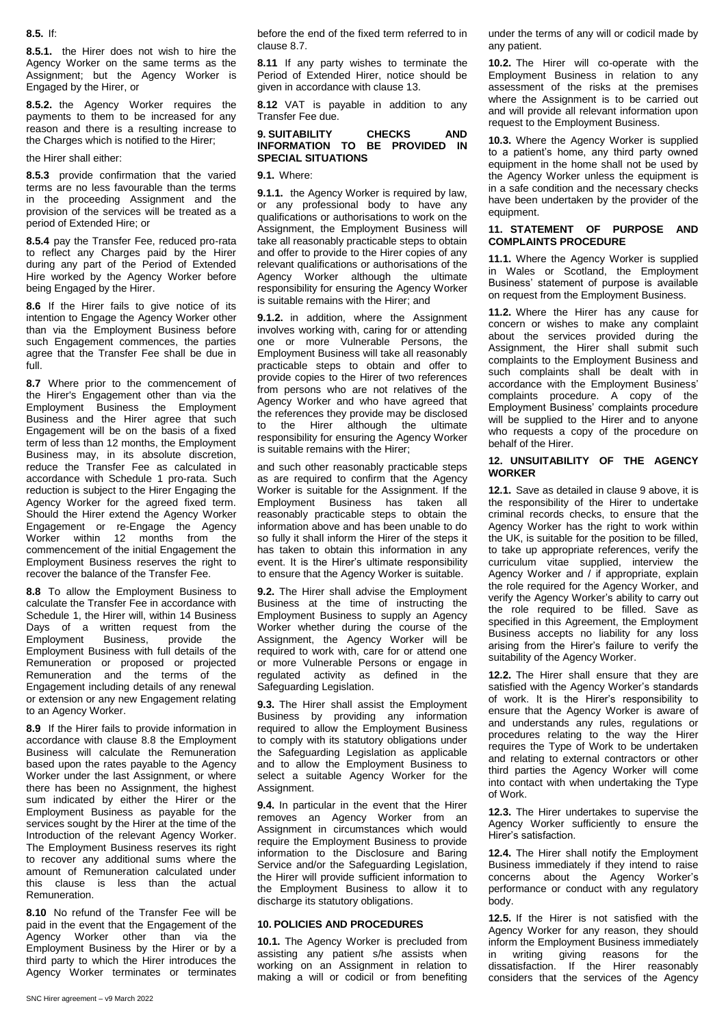# **8.5.** If:

**8.5.1.** the Hirer does not wish to hire the Agency Worker on the same terms as the Assignment; but the Agency Worker is Engaged by the Hirer, or

**8.5.2.** the Agency Worker requires the payments to them to be increased for any reason and there is a resulting increase to the Charges which is notified to the Hirer;

the Hirer shall either:

**8.5.3** provide confirmation that the varied terms are no less favourable than the terms in the proceeding Assignment and the provision of the services will be treated as a period of Extended Hire; or

**8.5.4** pay the Transfer Fee, reduced pro-rata to reflect any Charges paid by the Hirer during any part of the Period of Extended Hire worked by the Agency Worker before being Engaged by the Hirer.

**8.6** If the Hirer fails to give notice of its intention to Engage the Agency Worker other than via the Employment Business before such Engagement commences, the parties agree that the Transfer Fee shall be due in full.

**8.7** Where prior to the commencement of the Hirer's Engagement other than via the Employment Business the Employment Business and the Hirer agree that such Engagement will be on the basis of a fixed term of less than 12 months, the Employment Business may, in its absolute discretion, reduce the Transfer Fee as calculated in accordance with Schedule 1 pro-rata. Such reduction is subject to the Hirer Engaging the Agency Worker for the agreed fixed term. Should the Hirer extend the Agency Worker Engagement or re-Engage the Agency Worker within 12 months from the commencement of the initial Engagement the Employment Business reserves the right to recover the balance of the Transfer Fee.

**8.8** To allow the Employment Business to calculate the Transfer Fee in accordance with Schedule 1, the Hirer will, within 14 Business Days of a written request from the Employment Business, provide the Employment Business with full details of the Remuneration or proposed or projected Remuneration and the terms of the Engagement including details of any renewal or extension or any new Engagement relating to an Agency Worker.

**8.9** If the Hirer fails to provide information in accordance with clause 8.8 the Employment Business will calculate the Remuneration based upon the rates payable to the Agency Worker under the last Assignment, or where there has been no Assignment, the highest sum indicated by either the Hirer or the Employment Business as payable for the services sought by the Hirer at the time of the Introduction of the relevant Agency Worker. The Employment Business reserves its right to recover any additional sums where the amount of Remuneration calculated under this clause is less than the actual Remuneration.

**8.10** No refund of the Transfer Fee will be paid in the event that the Engagement of the Agency Worker other than via the Employment Business by the Hirer or by a third party to which the Hirer introduces the Agency Worker terminates or terminates

before the end of the fixed term referred to in clause 8.7.

**8.11** If any party wishes to terminate the Period of Extended Hirer, notice should be given in accordance with clause 13.

**8.12** VAT is payable in addition to any Transfer Fee due.

### **9. SUITABILITY CHECKS AND INFORMATION TO BE PROVIDED IN SPECIAL SITUATIONS**

**9.1.** Where:

**9.1.1.** the Agency Worker is required by law, or any professional body to have any qualifications or authorisations to work on the Assignment, the Employment Business will take all reasonably practicable steps to obtain and offer to provide to the Hirer copies of any relevant qualifications or authorisations of the Agency Worker although the ultimate responsibility for ensuring the Agency Worker is suitable remains with the Hirer; and

**9.1.2.** in addition, where the Assignment involves working with, caring for or attending one or more Vulnerable Persons, the Employment Business will take all reasonably practicable steps to obtain and offer to provide copies to the Hirer of two references from persons who are not relatives of the Agency Worker and who have agreed that the references they provide may be disclosed to the Hirer although the ultimate responsibility for ensuring the Agency Worker is suitable remains with the Hirer;

and such other reasonably practicable steps as are required to confirm that the Agency Worker is suitable for the Assignment. If the Employment Business has taken all reasonably practicable steps to obtain the information above and has been unable to do so fully it shall inform the Hirer of the steps it has taken to obtain this information in any event. It is the Hirer's ultimate responsibility to ensure that the Agency Worker is suitable.

**9.2.** The Hirer shall advise the Employment Business at the time of instructing the Employment Business to supply an Agency Worker whether during the course of the Assignment, the Agency Worker will be required to work with, care for or attend one or more Vulnerable Persons or engage in regulated activity as defined in the Safeguarding Legislation.

**9.3.** The Hirer shall assist the Employment Business by providing any information required to allow the Employment Business to comply with its statutory obligations under the Safeguarding Legislation as applicable and to allow the Employment Business to select a suitable Agency Worker for the Assignment.

**9.4.** In particular in the event that the Hirer removes an Agency Worker from an Assignment in circumstances which would require the Employment Business to provide information to the Disclosure and Baring Service and/or the Safeguarding Legislation, the Hirer will provide sufficient information to the Employment Business to allow it to discharge its statutory obligations.

# **10. POLICIES AND PROCEDURES**

**10.1.** The Agency Worker is precluded from assisting any patient s/he assists when working on an Assignment in relation to making a will or codicil or from benefiting under the terms of any will or codicil made by any patient.

**10.2.** The Hirer will co-operate with the Employment Business in relation to any assessment of the risks at the premises where the Assignment is to be carried out and will provide all relevant information upon request to the Employment Business.

**10.3.** Where the Agency Worker is supplied to a patient's home, any third party owned equipment in the home shall not be used by the Agency Worker unless the equipment is in a safe condition and the necessary checks have been undertaken by the provider of the equipment.

# **11. STATEMENT OF PURPOSE AND COMPLAINTS PROCEDURE**

**11.1.** Where the Agency Worker is supplied in Wales or Scotland, the Employment Business' statement of purpose is available on request from the Employment Business.

**11.2.** Where the Hirer has any cause for concern or wishes to make any complaint about the services provided during the Assignment, the Hirer shall submit such complaints to the Employment Business and such complaints shall be dealt with in accordance with the Employment Business' complaints procedure. A copy of the Employment Business' complaints procedure will be supplied to the Hirer and to anyone who requests a copy of the procedure on behalf of the Hirer.

# **12. UNSUITABILITY OF THE AGENCY WORKER**

**12.1.** Save as detailed in clause 9 above, it is the responsibility of the Hirer to undertake criminal records checks, to ensure that the Agency Worker has the right to work within the UK, is suitable for the position to be filled, to take up appropriate references, verify the curriculum vitae supplied, interview the Agency Worker and / if appropriate, explain the role required for the Agency Worker, and verify the Agency Worker's ability to carry out the role required to be filled. Save as specified in this Agreement, the Employment Business accepts no liability for any loss arising from the Hirer's failure to verify the suitability of the Agency Worker.

**12.2.** The Hirer shall ensure that they are satisfied with the Agency Worker's standards of work. It is the Hirer's responsibility to ensure that the Agency Worker is aware of and understands any rules, regulations or procedures relating to the way the Hirer requires the Type of Work to be undertaken and relating to external contractors or other third parties the Agency Worker will come into contact with when undertaking the Type of Work.

**12.3.** The Hirer undertakes to supervise the Agency Worker sufficiently to ensure the Hirer's satisfaction.

**12.4.** The Hirer shall notify the Employment Business immediately if they intend to raise concerns about the Agency Worker's performance or conduct with any regulatory body.

**12.5.** If the Hirer is not satisfied with the Agency Worker for any reason, they should inform the Employment Business immediately in writing giving reasons for the dissatisfaction. If the Hirer reasonably considers that the services of the Agency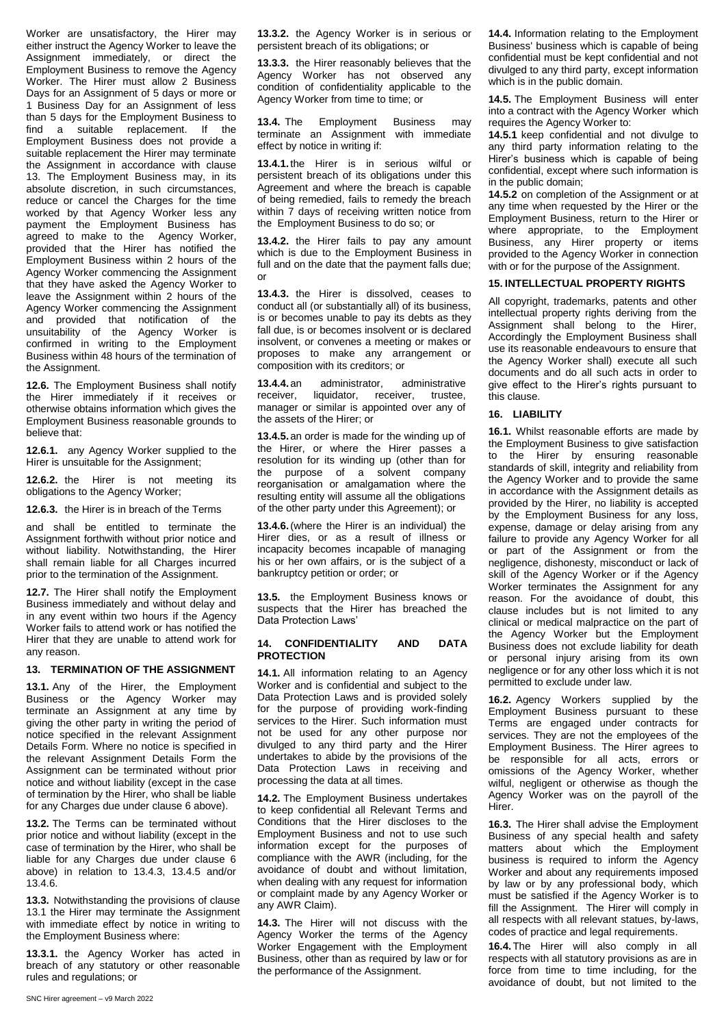Worker are unsatisfactory, the Hirer may either instruct the Agency Worker to leave the Assignment immediately, or direct the Employment Business to remove the Agency Worker. The Hirer must allow 2 Business Days for an Assignment of 5 days or more or 1 Business Day for an Assignment of less than 5 days for the Employment Business to find a suitable replacement. If the Employment Business does not provide a suitable replacement the Hirer may terminate the Assignment in accordance with clause 13. The Employment Business may, in its absolute discretion, in such circumstances, reduce or cancel the Charges for the time worked by that Agency Worker less any payment the Employment Business has agreed to make to the Agency Worker, provided that the Hirer has notified the Employment Business within 2 hours of the Agency Worker commencing the Assignment that they have asked the Agency Worker to leave the Assignment within 2 hours of the Agency Worker commencing the Assignment and provided that notification of the unsuitability of the Agency Worker is confirmed in writing to the Employment Business within 48 hours of the termination of the Assignment.

**12.6.** The Employment Business shall notify the Hirer immediately if it receives or otherwise obtains information which gives the Employment Business reasonable grounds to believe that:

**12.6.1.** any Agency Worker supplied to the Hirer is unsuitable for the Assignment:

**12.6.2.** the Hirer is not meeting its obligations to the Agency Worker;

**12.6.3.** the Hirer is in breach of the Terms

and shall be entitled to terminate the Assignment forthwith without prior notice and without liability. Notwithstanding, the Hirer shall remain liable for all Charges incurred prior to the termination of the Assignment.

**12.7.** The Hirer shall notify the Employment Business immediately and without delay and in any event within two hours if the Agency Worker fails to attend work or has notified the Hirer that they are unable to attend work for any reason.

# **13. TERMINATION OF THE ASSIGNMENT**

**13.1.** Any of the Hirer, the Employment Business or the Agency Worker may terminate an Assignment at any time by giving the other party in writing the period of notice specified in the relevant Assignment Details Form. Where no notice is specified in the relevant Assignment Details Form the Assignment can be terminated without prior notice and without liability (except in the case of termination by the Hirer, who shall be liable for any Charges due under clause 6 above).

**13.2.** The Terms can be terminated without prior notice and without liability (except in the case of termination by the Hirer, who shall be liable for any Charges due under clause 6 above) in relation to 13.4.3, 13.4.5 and/or 13.4.6.

**13.3.** Notwithstanding the provisions of clause 13.1 the Hirer may terminate the Assignment with immediate effect by notice in writing to the Employment Business where:

**13.3.1.** the Agency Worker has acted in breach of any statutory or other reasonable rules and regulations; or

**13.3.2.** the Agency Worker is in serious or persistent breach of its obligations; or

**13.3.3.** the Hirer reasonably believes that the Agency Worker has not observed any condition of confidentiality applicable to the Agency Worker from time to time; or

**13.4.** The Employment Business may terminate an Assignment with immediate effect by notice in writing if:

**13.4.1.**the Hirer is in serious wilful or persistent breach of its obligations under this Agreement and where the breach is capable of being remedied, fails to remedy the breach within 7 days of receiving written notice from the Employment Business to do so; or

**13.4.2.** the Hirer fails to pay any amount which is due to the Employment Business in full and on the date that the payment falls due: or

**13.4.3.** the Hirer is dissolved, ceases to conduct all (or substantially all) of its business, is or becomes unable to pay its debts as they fall due, is or becomes insolvent or is declared insolvent, or convenes a meeting or makes or proposes to make any arrangement or composition with its creditors; or

**13.4.4.**an administrator, administrative receiver, liquidator, receiver, trustee, manager or similar is appointed over any of the assets of the Hirer; or

**13.4.5.**an order is made for the winding up of the Hirer, or where the Hirer passes a resolution for its winding up (other than for the purpose of a solvent company reorganisation or amalgamation where the resulting entity will assume all the obligations of the other party under this Agreement); or

**13.4.6.**(where the Hirer is an individual) the Hirer dies, or as a result of illness or incapacity becomes incapable of managing his or her own affairs, or is the subject of a bankruptcy petition or order; or

**13.5.** the Employment Business knows or suspects that the Hirer has breached the Data Protection Laws'

#### **14. CONFIDENTIALITY AND DATA PROTECTION**

**14.1.** All information relating to an Agency Worker and is confidential and subject to the Data Protection Laws and is provided solely for the purpose of providing work-finding services to the Hirer. Such information must not be used for any other purpose nor divulged to any third party and the Hirer undertakes to abide by the provisions of the Data Protection Laws in receiving and processing the data at all times.

**14.2.** The Employment Business undertakes to keep confidential all Relevant Terms and Conditions that the Hirer discloses to the Employment Business and not to use such information except for the purposes of compliance with the AWR (including, for the avoidance of doubt and without limitation, when dealing with any request for information or complaint made by any Agency Worker or any AWR Claim).

**14.3.** The Hirer will not discuss with the Agency Worker the terms of the Agency Worker Engagement with the Employment Business, other than as required by law or for the performance of the Assignment.

**14.4.** Information relating to the Employment Business' business which is capable of being confidential must be kept confidential and not divulged to any third party, except information which is in the public domain.

**14.5.** The Employment Business will enter into a contract with the Agency Worker which requires the Agency Worker to:

**14.5.1** keep confidential and not divulge to any third party information relating to the Hirer's business which is capable of being confidential, except where such information is in the public domain;

**14.5.2** on completion of the Assignment or at any time when requested by the Hirer or the Employment Business, return to the Hirer or where appropriate, to the Employment Business, any Hirer property or items provided to the Agency Worker in connection with or for the purpose of the Assignment.

#### **15. INTELLECTUAL PROPERTY RIGHTS**

All copyright, trademarks, patents and other intellectual property rights deriving from the Assignment shall belong to the Hirer, Accordingly the Employment Business shall use its reasonable endeavours to ensure that the Agency Worker shall) execute all such documents and do all such acts in order to give effect to the Hirer's rights pursuant to this clause.

#### **16. LIABILITY**

**16.1.** Whilst reasonable efforts are made by the Employment Business to give satisfaction to the Hirer by ensuring reasonable standards of skill, integrity and reliability from the Agency Worker and to provide the same in accordance with the Assignment details as provided by the Hirer, no liability is accepted by the Employment Business for any loss, expense, damage or delay arising from any failure to provide any Agency Worker for all or part of the Assignment or from the negligence, dishonesty, misconduct or lack of skill of the Agency Worker or if the Agency Worker terminates the Assignment for any reason. For the avoidance of doubt, this clause includes but is not limited to any clinical or medical malpractice on the part of the Agency Worker but the Employment Business does not exclude liability for death or personal injury arising from its own negligence or for any other loss which it is not permitted to exclude under law.

**16.2.** Agency Workers supplied by the Employment Business pursuant to these Terms are engaged under contracts for services. They are not the employees of the Employment Business. The Hirer agrees to be responsible for all acts, errors or omissions of the Agency Worker, whether wilful, negligent or otherwise as though the Agency Worker was on the payroll of the Hirer.

**16.3.** The Hirer shall advise the Employment Business of any special health and safety matters about which the Employment business is required to inform the Agency Worker and about any requirements imposed by law or by any professional body, which must be satisfied if the Agency Worker is to fill the Assignment. The Hirer will comply in all respects with all relevant statues, by-laws, codes of practice and legal requirements.

**16.4.**The Hirer will also comply in all respects with all statutory provisions as are in force from time to time including, for the avoidance of doubt, but not limited to the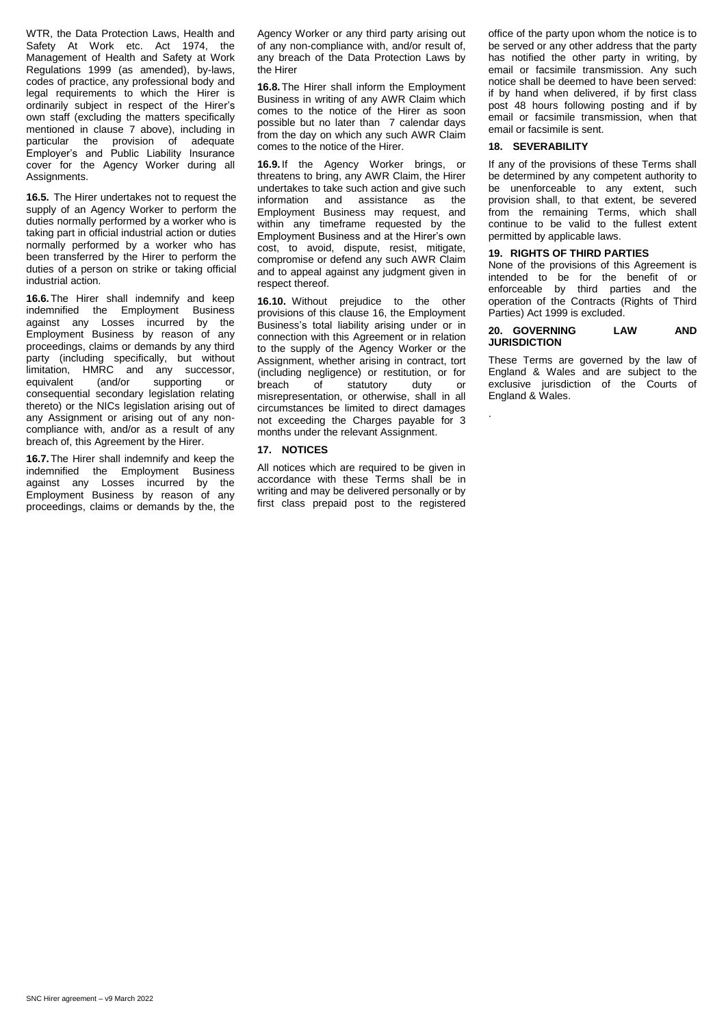WTR, the Data Protection Laws, Health and Safety At Work etc. Act 1974, the Management of Health and Safety at Work Regulations 1999 (as amended), by-laws, codes of practice, any professional body and legal requirements to which the Hirer is ordinarily subject in respect of the Hirer's own staff (excluding the matters specifically mentioned in clause 7 above), including in particular the provision of adequate Employer's and Public Liability Insurance cover for the Agency Worker during all Assignments.

**16.5.** The Hirer undertakes not to request the supply of an Agency Worker to perform the duties normally performed by a worker who is taking part in official industrial action or duties normally performed by a worker who has been transferred by the Hirer to perform the duties of a person on strike or taking official industrial action.

**16.6.**The Hirer shall indemnify and keep indemnified the Employment Business against any Losses incurred by the Employment Business by reason of any proceedings, claims or demands by any third party (including specifically, but without limitation, HMRC and any successor, equivalent (and/or supporting or consequential secondary legislation relating thereto) or the NICs legislation arising out of any Assignment or arising out of any noncompliance with, and/or as a result of any breach of, this Agreement by the Hirer.

**16.7.**The Hirer shall indemnify and keep the indemnified the Employment Business against any Losses incurred by the Employment Business by reason of any proceedings, claims or demands by the, the

Agency Worker or any third party arising out of any non-compliance with, and/or result of, any breach of the Data Protection Laws by the Hirer

**16.8.**The Hirer shall inform the Employment Business in writing of any AWR Claim which comes to the notice of the Hirer as soon possible but no later than 7 calendar days from the day on which any such AWR Claim comes to the notice of the Hirer.

**16.9.** If the Agency Worker brings, or threatens to bring, any AWR Claim, the Hirer undertakes to take such action and give such information and assistance as the Employment Business may request, and within any timeframe requested by the Employment Business and at the Hirer's own cost, to avoid, dispute, resist, mitigate, compromise or defend any such AWR Claim and to appeal against any judgment given in respect thereof.

**16.10.** Without prejudice to the other provisions of this clause 16, the Employment Business's total liability arising under or in connection with this Agreement or in relation to the supply of the Agency Worker or the Assignment, whether arising in contract, tort (including negligence) or restitution, or for breach of statutory duty or misrepresentation, or otherwise, shall in all circumstances be limited to direct damages not exceeding the Charges payable for 3 months under the relevant Assignment.

# **17. NOTICES**

All notices which are required to be given in accordance with these Terms shall be in writing and may be delivered personally or by first class prepaid post to the registered

office of the party upon whom the notice is to be served or any other address that the party has notified the other party in writing, by email or facsimile transmission. Any such notice shall be deemed to have been served: if by hand when delivered, if by first class post 48 hours following posting and if by email or facsimile transmission, when that email or facsimile is sent.

# **18. SEVERABILITY**

.

If any of the provisions of these Terms shall be determined by any competent authority to be unenforceable to any extent, such provision shall, to that extent, be severed from the remaining Terms, which shall continue to be valid to the fullest extent permitted by applicable laws.

# **19. RIGHTS OF THIRD PARTIES**

None of the provisions of this Agreement is intended to be for the benefit of or enforceable by third parties and the operation of the Contracts (Rights of Third Parties) Act 1999 is excluded.

# **20. GOVERNING LAW AND JURISDICTION**

These Terms are governed by the law of England & Wales and are subject to the exclusive jurisdiction of the Courts of England & Wales.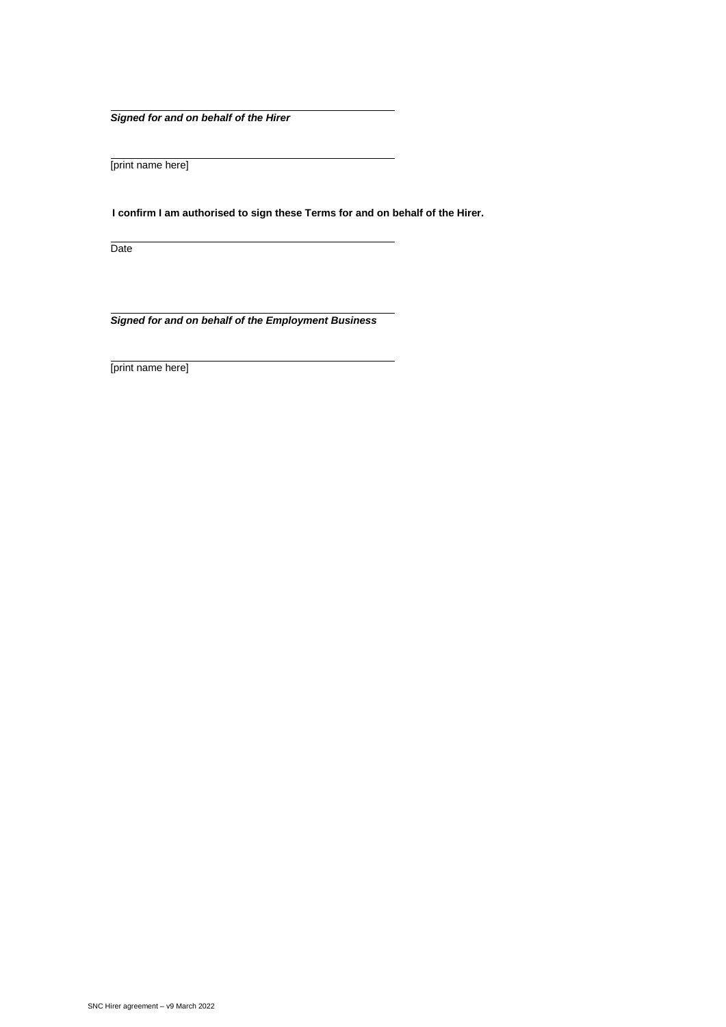*Signed for and on behalf of the Hirer*

[print name here]

**I confirm I am authorised to sign these Terms for and on behalf of the Hirer.** 

Date

*Signed for and on behalf of the Employment Business*

[print name here]